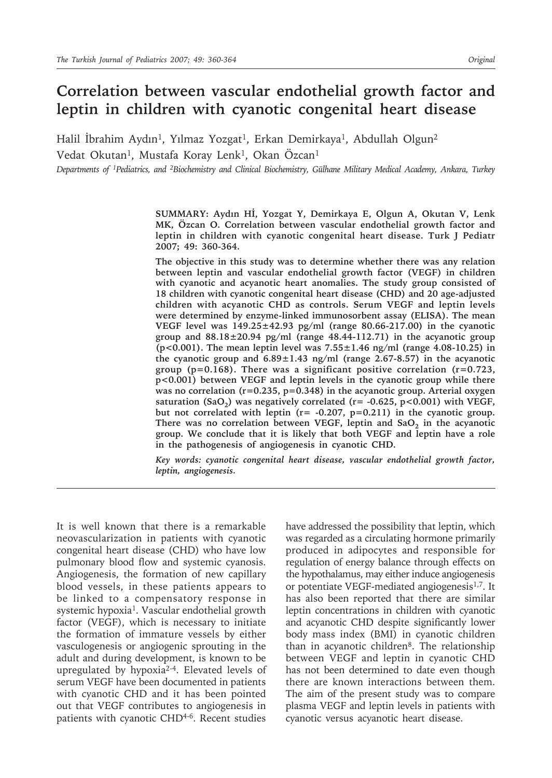# **Correlation between vascular endothelial growth factor and leptin in children with cyanotic congenital heart disease**

Halil İbrahim Aydın<sup>1</sup>, Yılmaz Yozgat<sup>1</sup>, Erkan Demirkaya<sup>1</sup>, Abdullah Olgun<sup>2</sup> Vedat Okutan<sup>1</sup>, Mustafa Koray Lenk<sup>1</sup>, Okan Özcan<sup>1</sup>

*Departments of 1Pediatrics, and 2Biochemistry and Clinical Biochemistry, Gülhane Military Medical Academy, Ankara, Turkey*

**SUMMARY: Aydın Hİ, Yozgat Y, Demirkaya E, Olgun A, Okutan V, Lenk MK, Özcan O. Correlation between vascular endothelial growth factor and leptin in children with cyanotic congenital heart disease. Turk J Pediatr 2007; 49: 360-364.**

**The objective in this study was to determine whether there was any relation between leptin and vascular endothelial growth factor (VEGF) in children with cyanotic and acyanotic heart anomalies. The study group consisted of 18 children with cyanotic congenital heart disease (CHD) and 20 age-adjusted children with acyanotic CHD as controls. Serum VEGF and leptin levels were determined by enzyme-linked immunosorbent assay (ELISA). The mean VEGF level was 149.25±42.93 pg/ml (range 80.66-217.00) in the cyanotic group and 88.18±20.94 pg/ml (range 48.44-112.71) in the acyanotic group (p<0.001). The mean leptin level was 7.55±1.46 ng/ml (range 4.08-10.25) in the cyanotic group and 6.89±1.43 ng/ml (range 2.67-8.57) in the acyanotic group (p=0.168). There was a significant positive correlation (r=0.723, p<0.001) between VEGF and leptin levels in the cyanotic group while there was no correlation (r=0.235, p=0.348) in the acyanotic group. Arterial oxygen**  saturation  $(SaO<sub>2</sub>)$  was negatively correlated ( $r = -0.625$ ,  $p < 0.001$ ) with VEGF, **but not correlated with leptin (r= -0.207, p=0.211) in the cyanotic group.**  There was no correlation between VEGF, leptin and SaO<sub>2</sub> in the acyanotic **group. We conclude that it is likely that both VEGF and leptin have a role in the pathogenesis of angiogenesis in cyanotic CHD.**

*Key words: cyanotic congenital heart disease, vascular endothelial growth factor, leptin, angiogenesis.*

It is well known that there is a remarkable neovascularization in patients with cyanotic congenital heart disease (CHD) who have low pulmonary blood flow and systemic cyanosis. Angiogenesis, the formation of new capillary blood vessels, in these patients appears to be linked to a compensatory response in systemic hypoxia<sup>1</sup>. Vascular endothelial growth factor (VEGF), which is necessary to initiate the formation of immature vessels by either vasculogenesis or angiogenic sprouting in the adult and during development, is known to be upregulated by hypoxia2-4. Elevated levels of serum VEGF have been documented in patients with cyanotic CHD and it has been pointed out that VEGF contributes to angiogenesis in patients with cyanotic CHD4-6. Recent studies

have addressed the possibility that leptin, which was regarded as a circulating hormone primarily produced in adipocytes and responsible for regulation of energy balance through effects on the hypothalamus, may either induce angiogenesis or potentiate VEGF-mediated angiogenesis<sup>1,7</sup>. It has also been reported that there are similar leptin concentrations in children with cyanotic and acyanotic CHD despite significantly lower body mass index (BMI) in cyanotic children than in acyanotic children<sup>8</sup>. The relationship between VEGF and leptin in cyanotic CHD has not been determined to date even though there are known interactions between them. The aim of the present study was to compare plasma VEGF and leptin levels in patients with cyanotic versus acyanotic heart disease.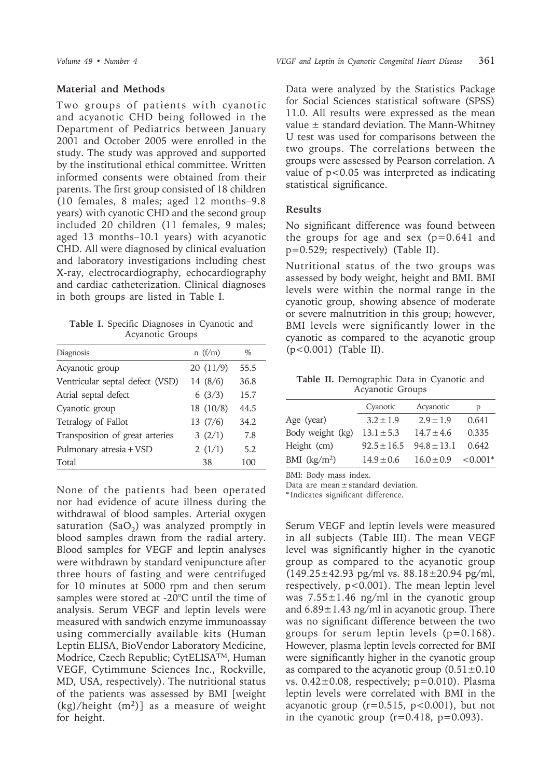## **Material and Methods**

Two groups of patients with cyanotic and acyanotic CHD being followed in the Department of Pediatrics between January 2001 and October 2005 were enrolled in the study. The study was approved and supported by the institutional ethical committee. Written informed consents were obtained from their parents. The first group consisted of 18 children (10 females, 8 males; aged 12 months–9.8 years) with cyanotic CHD and the second group included 20 children (11 females, 9 males; aged 13 months–10.1 years) with acyanotic CHD. All were diagnosed by clinical evaluation and laboratory investigations including chest X-ray, electrocardiography, echocardiography and cardiac catheterization. Clinical diagnoses in both groups are listed in Table I.

**Table I.** Specific Diagnoses in Cyanotic and Acyanotic Groups

| Diagnosis                       | n(f/m)    | $\%$ |
|---------------------------------|-----------|------|
| Acyanotic group                 | 20(11/9)  | 55.5 |
| Ventricular septal defect (VSD) | 14 (8/6)  | 36.8 |
| Atrial septal defect            | 6(3/3)    | 15.7 |
| Cyanotic group                  | 18 (10/8) | 44.5 |
| Tetralogy of Fallot             | 13(7/6)   | 34.2 |
| Transposition of great arteries | 3(2/1)    | 7.8  |
| Pulmonary atresia + VSD         | 2(1/1)    | 5.2  |
| Total                           | 38        | 100  |

None of the patients had been operated nor had evidence of acute illness during the withdrawal of blood samples. Arterial oxygen saturation (SaO<sub>2</sub>) was analyzed promptly in blood samples drawn from the radial artery. Blood samples for VEGF and leptin analyses were withdrawn by standard venipuncture after three hours of fasting and were centrifuged for 10 minutes at 5000 rpm and then serum samples were stored at -20°C until the time of analysis. Serum VEGF and leptin levels were measured with sandwich enzyme immunoassay using commercially available kits (Human Leptin ELISA, BioVendor Laboratory Medicine, Modrice, Czech Republic; CytELISATM, Human VEGF, Cytimmune Sciences Inc., Rockville, MD, USA, respectively). The nutritional status of the patients was assessed by BMI [weight  $(kg)/height$  (m<sup>2</sup>)] as a measure of weight for height.

Data were analyzed by the Statistics Package for Social Sciences statistical software (SPSS) 11.0. All results were expressed as the mean value  $\pm$  standard deviation. The Mann-Whitney U test was used for comparisons between the two groups. The correlations between the groups were assessed by Pearson correlation. A value of p<0.05 was interpreted as indicating statistical significance.

# **Results**

No significant difference was found between the groups for age and sex  $(p=0.641$  and p=0.529; respectively) (Table II).

Nutritional status of the two groups was assessed by body weight, height and BMI. BMI levels were within the normal range in the cyanotic group, showing absence of moderate or severe malnutrition in this group; however, BMI levels were significantly lower in the cyanotic as compared to the acyanotic group (p<0.001) (Table II).

**Table II.** Demographic Data in Cyanotic and Acyanotic Groups

|                  | Cyanotic        | Acyanotic       | p         |
|------------------|-----------------|-----------------|-----------|
| Age (year)       | $3.2 \pm 1.9$   | $2.9 \pm 1.9$   | 0.641     |
| Body weight (kg) | $13.1 \pm 5.3$  | $14.7 \pm 4.6$  | 0.335     |
| Height (cm)      | $92.5 \pm 16.5$ | $94.8 \pm 13.1$ | 0.642     |
| BMI $(kg/m2)$    | $14.9 \pm 0.6$  | $16.0 \pm 0.9$  | $<0.001*$ |

BMI: Body mass index.

Data are mean ± standard deviation.

\* Indicates significant difference.

Serum VEGF and leptin levels were measured in all subjects (Table III). The mean VEGF level was significantly higher in the cyanotic group as compared to the acyanotic group  $(149.25 \pm 42.93 \text{ pg/ml vs. } 88.18 \pm 20.94 \text{ pg/ml}$ , respectively, p<0.001). The mean leptin level was 7.55±1.46 ng/ml in the cyanotic group and  $6.89 \pm 1.43$  ng/ml in acyanotic group. There was no significant difference between the two groups for serum leptin levels  $(p=0.168)$ . However, plasma leptin levels corrected for BMI were significantly higher in the cyanotic group as compared to the acyanotic group  $(0.51 \pm 0.10)$ vs.  $0.42\pm0.08$ , respectively;  $p=0.010$ ). Plasma leptin levels were correlated with BMI in the acyanotic group  $(r=0.515, p<0.001)$ , but not in the cyanotic group  $(r=0.418, p=0.093)$ .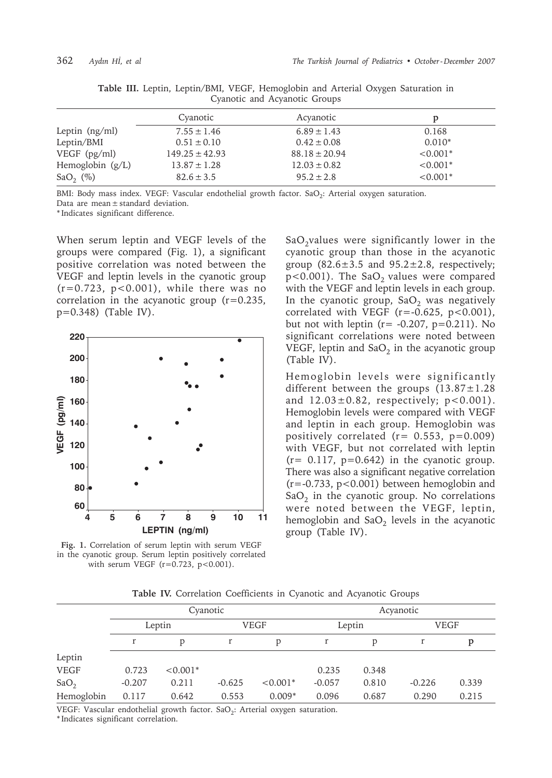|                         | Cyanotic           | Acyanotic         | p          |
|-------------------------|--------------------|-------------------|------------|
| Leptin $(ng/ml)$        | $7.55 \pm 1.46$    | $6.89 \pm 1.43$   | 0.168      |
| Leptin/BMI              | $0.51 \pm 0.10$    | $0.42 \pm 0.08$   | $0.010*$   |
| $VEGF$ (pg/ml)          | $149.25 \pm 42.93$ | $88.18 \pm 20.94$ | $< 0.001*$ |
| Hemoglobin $(g/L)$      | $13.87 \pm 1.28$   | $12.03 \pm 0.82$  | $< 0.001*$ |
| SaO <sub>2</sub> $(\%)$ | $82.6 \pm 3.5$     | $95.2 \pm 2.8$    | $< 0.001*$ |

**Table III.** Leptin, Leptin/BMI, VEGF, Hemoglobin and Arterial Oxygen Saturation in Cyanotic and Acyanotic Groups

BMI: Body mass index. VEGF: Vascular endothelial growth factor. SaO<sub>2</sub>: Arterial oxygen saturation. Data are mean  $\pm$  standard deviation.

\* Indicates significant difference.

When serum leptin and VEGF levels of the groups were compared (Fig. 1), a significant positive correlation was noted between the VEGF and leptin levels in the cyanotic group  $(r=0.723, p<0.001)$ , while there was no correlation in the acyanotic group (r=0.235, p=0.348) (Table IV).



**Fig. 1.** Correlation of serum leptin with serum VEGF in the cyanotic group. Serum leptin positively correlated with serum VEGF  $(r=0.723, p<0.001)$ .

 $SaO<sub>2</sub>$ values were significantly lower in the cyanotic group than those in the acyanotic group  $(82.6 \pm 3.5 \text{ and } 95.2 \pm 2.8)$ , respectively;  $p$ <0.001). The SaO<sub>2</sub> values were compared with the VEGF and leptin levels in each group. In the cyanotic group,  $SaO<sub>2</sub>$  was negatively correlated with VEGF ( $r = -0.625$ ,  $p < 0.001$ ), but not with leptin ( $r = -0.207$ ,  $p = 0.211$ ). No significant correlations were noted between VEGF, leptin and  $SaO<sub>2</sub>$  in the acyanotic group (Table IV).

Hemoglobin levels were significantly different between the groups  $(13.87 \pm 1.28)$ and  $12.03 \pm 0.82$ , respectively;  $p < 0.001$ ). Hemoglobin levels were compared with VEGF and leptin in each group. Hemoglobin was positively correlated  $(r= 0.553, p=0.009)$ with VEGF, but not correlated with leptin  $(r= 0.117, p=0.642)$  in the cyanotic group. There was also a significant negative correlation  $(r=-0.733, p<0.001)$  between hemoglobin and  $SaO<sub>2</sub>$  in the cyanotic group. No correlations were noted between the VEGF, leptin, hemoglobin and  $SaO<sub>2</sub>$  levels in the acyanotic group (Table IV).

| Table IV. Correlation Coefficients in Cyanotic and Acyanotic Groups |  |  |  |  |  |
|---------------------------------------------------------------------|--|--|--|--|--|
|---------------------------------------------------------------------|--|--|--|--|--|

|                  | Cyanotic |            |             |            | Acyanotic |        |          |             |  |
|------------------|----------|------------|-------------|------------|-----------|--------|----------|-------------|--|
|                  | Leptin   |            | <b>VEGF</b> |            |           | Leptin |          | <b>VEGF</b> |  |
|                  |          | p          |             | D          |           | p      |          | p           |  |
| Leptin           |          |            |             |            |           |        |          |             |  |
| <b>VEGF</b>      | 0.723    | $< 0.001*$ |             |            | 0.235     | 0.348  |          |             |  |
| SaO <sub>2</sub> | $-0.207$ | 0.211      | $-0.625$    | $< 0.001*$ | $-0.057$  | 0.810  | $-0.226$ | 0.339       |  |
| Hemoglobin       | 0.117    | 0.642      | 0.553       | $0.009*$   | 0.096     | 0.687  | 0.290    | 0.215       |  |

VEGF: Vascular endothelial growth factor.  $SaO_2$ : Arterial oxygen saturation. \* Indicates significant correlation.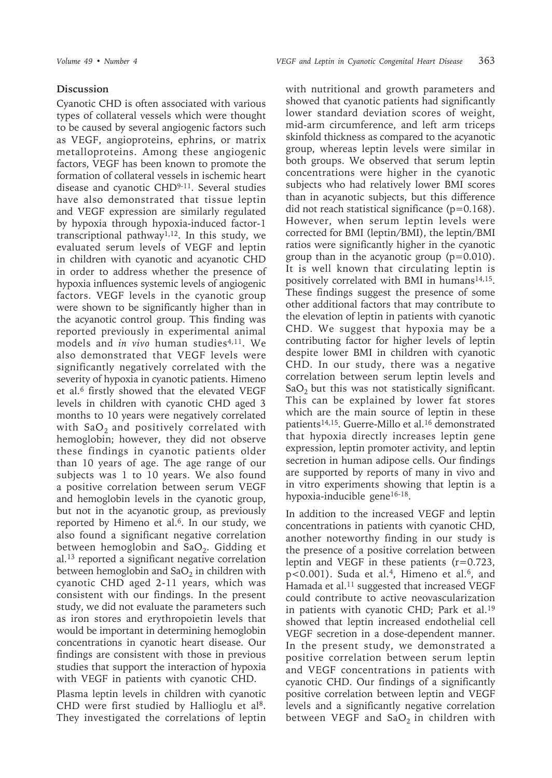## **Discussion**

Cyanotic CHD is often associated with various types of collateral vessels which were thought to be caused by several angiogenic factors such as VEGF, angioproteins, ephrins, or matrix metalloproteins. Among these angiogenic factors, VEGF has been known to promote the formation of collateral vessels in ischemic heart disease and cyanotic CHD9-11. Several studies have also demonstrated that tissue leptin and VEGF expression are similarly regulated by hypoxia through hypoxia-induced factor-1 transcriptional pathway<sup>1,12</sup>. In this study, we evaluated serum levels of VEGF and leptin in children with cyanotic and acyanotic CHD in order to address whether the presence of hypoxia influences systemic levels of angiogenic factors. VEGF levels in the cyanotic group were shown to be significantly higher than in the acyanotic control group. This finding was reported previously in experimental animal models and *in vivo* human studies<sup>4,11</sup>. We also demonstrated that VEGF levels were significantly negatively correlated with the severity of hypoxia in cyanotic patients. Himeno et al.6 firstly showed that the elevated VEGF levels in children with cyanotic CHD aged 3 months to 10 years were negatively correlated with  $SaO<sub>2</sub>$  and positively correlated with hemoglobin; however, they did not observe these findings in cyanotic patients older than 10 years of age. The age range of our subjects was 1 to 10 years. We also found a positive correlation between serum VEGF and hemoglobin levels in the cyanotic group, but not in the acyanotic group, as previously reported by Himeno et al. $6$ . In our study, we also found a significant negative correlation between hemoglobin and  $SaO<sub>2</sub>$ . Gidding et al.13 reported a significant negative correlation between hemoglobin and  $SaO<sub>2</sub>$  in children with cyanotic CHD aged 2-11 years, which was consistent with our findings. In the present study, we did not evaluate the parameters such as iron stores and erythropoietin levels that would be important in determining hemoglobin concentrations in cyanotic heart disease. Our findings are consistent with those in previous studies that support the interaction of hypoxia with VEGF in patients with cyanotic CHD.

Plasma leptin levels in children with cyanotic CHD were first studied by Hallioglu et al<sup>8</sup>. They investigated the correlations of leptin with nutritional and growth parameters and showed that cyanotic patients had significantly lower standard deviation scores of weight, mid-arm circumference, and left arm triceps skinfold thickness as compared to the acyanotic group, whereas leptin levels were similar in both groups. We observed that serum leptin concentrations were higher in the cyanotic subjects who had relatively lower BMI scores than in acyanotic subjects, but this difference did not reach statistical significance  $(p=0.168)$ . However, when serum leptin levels were corrected for BMI (leptin/BMI), the leptin/BMI ratios were significantly higher in the cyanotic group than in the acyanotic group  $(p=0.010)$ . It is well known that circulating leptin is positively correlated with BMI in humans<sup>14,15</sup>. These findings suggest the presence of some other additional factors that may contribute to the elevation of leptin in patients with cyanotic CHD. We suggest that hypoxia may be a contributing factor for higher levels of leptin despite lower BMI in children with cyanotic CHD. In our study, there was a negative correlation between serum leptin levels and  $SaO<sub>2</sub>$  but this was not statistically significant. This can be explained by lower fat stores which are the main source of leptin in these patients<sup>14,15</sup>. Guerre-Millo et al.<sup>16</sup> demonstrated that hypoxia directly increases leptin gene expression, leptin promoter activity, and leptin secretion in human adipose cells. Our findings are supported by reports of many in vivo and in vitro experiments showing that leptin is a hypoxia-inducible gene16-18.

In addition to the increased VEGF and leptin concentrations in patients with cyanotic CHD, another noteworthy finding in our study is the presence of a positive correlation between leptin and VEGF in these patients (r=0.723, p<0.001). Suda et al.<sup>4</sup>, Himeno et al.<sup>6</sup>, and Hamada et al.<sup>11</sup> suggested that increased VEGF could contribute to active neovascularization in patients with cyanotic CHD; Park et al.19 showed that leptin increased endothelial cell VEGF secretion in a dose-dependent manner. In the present study, we demonstrated a positive correlation between serum leptin and VEGF concentrations in patients with cyanotic CHD. Our findings of a significantly positive correlation between leptin and VEGF levels and a significantly negative correlation between VEGF and  $SaO<sub>2</sub>$  in children with